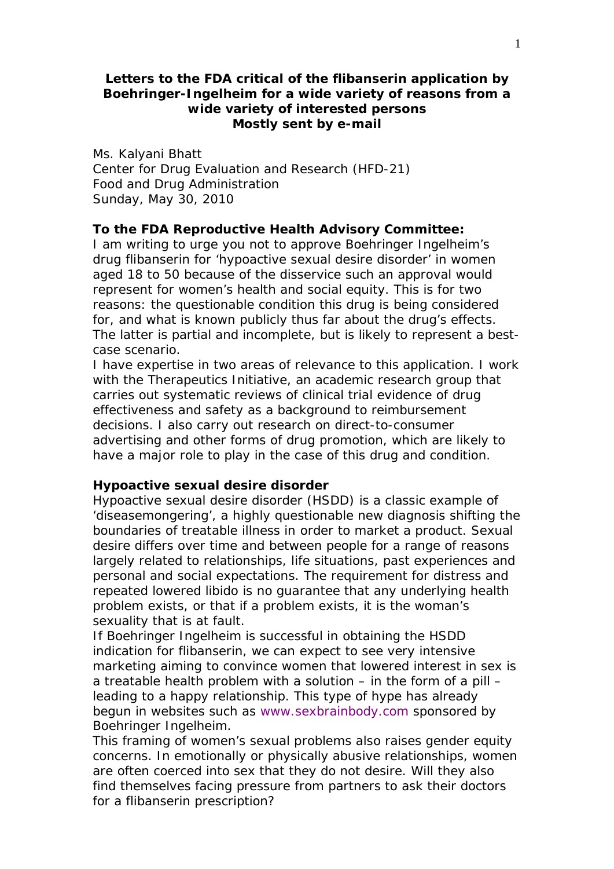# **Letters to the FDA critical of the flibanserin application by Boehringer-Ingelheim for a wide variety of reasons from a wide variety of interested persons Mostly sent by e-mail**

Ms. Kalyani Bhatt Center for Drug Evaluation and Research (HFD-21) Food and Drug Administration Sunday, May 30, 2010

# **To the FDA Reproductive Health Advisory Committee:**

I am writing to urge you not to approve Boehringer Ingelheim's drug flibanserin for 'hypoactive sexual desire disorder' in women aged 18 to 50 because of the disservice such an approval would represent for women's health and social equity. This is for two reasons: the questionable condition this drug is being considered for, and what is known publicly thus far about the drug's effects. The latter is partial and incomplete, but is likely to represent a bestcase scenario.

I have expertise in two areas of relevance to this application. I work with the Therapeutics Initiative, an academic research group that carries out systematic reviews of clinical trial evidence of drug effectiveness and safety as a background to reimbursement decisions. I also carry out research on direct-to-consumer advertising and other forms of drug promotion, which are likely to have a major role to play in the case of this drug and condition.

## **Hypoactive sexual desire disorder**

Hypoactive sexual desire disorder (HSDD) is a classic example of 'diseasemongering', a highly questionable new diagnosis shifting the boundaries of treatable illness in order to market a product. Sexual desire differs over time and between people for a range of reasons largely related to relationships, life situations, past experiences and personal and social expectations. The requirement for distress and repeated lowered libido is no guarantee that any underlying health problem exists, or that if a problem exists, it is the woman's sexuality that is at fault.

If Boehringer Ingelheim is successful in obtaining the HSDD indication for flibanserin, we can expect to see very intensive marketing aiming to convince women that lowered interest in sex is a treatable health problem with a solution – in the form of a pill – leading to a happy relationship. This type of hype has already begun in websites such as www.sexbrainbody.com sponsored by Boehringer Ingelheim.

This framing of women's sexual problems also raises gender equity concerns. In emotionally or physically abusive relationships, women are often coerced into sex that they do not desire. Will they also find themselves facing pressure from partners to ask their doctors for a flibanserin prescription?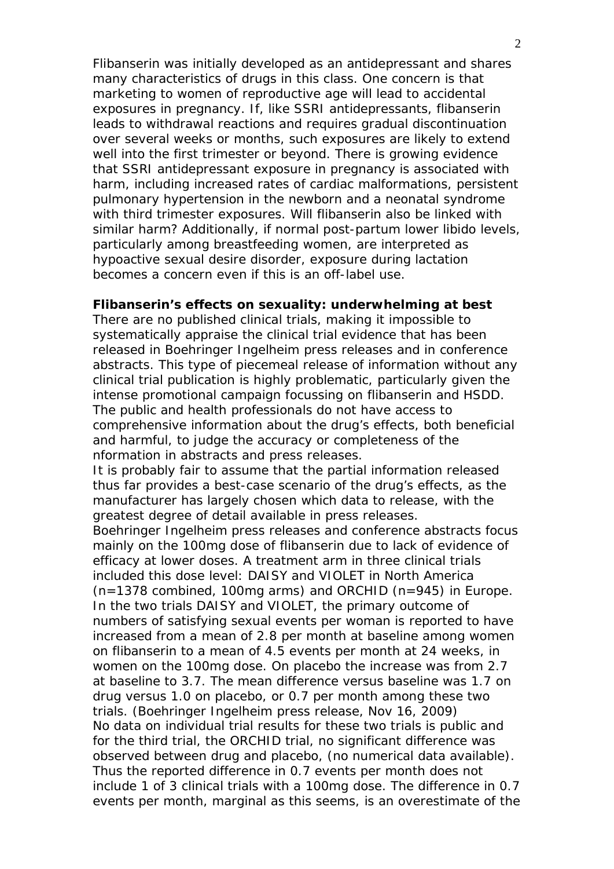Flibanserin was initially developed as an antidepressant and shares many characteristics of drugs in this class. One concern is that marketing to women of reproductive age will lead to accidental exposures in pregnancy. If, like SSRI antidepressants, flibanserin leads to withdrawal reactions and requires gradual discontinuation over several weeks or months, such exposures are likely to extend well into the first trimester or beyond. There is growing evidence that SSRI antidepressant exposure in pregnancy is associated with harm, including increased rates of cardiac malformations, persistent pulmonary hypertension in the newborn and a neonatal syndrome with third trimester exposures. Will flibanserin also be linked with similar harm? Additionally, if normal post-partum lower libido levels, particularly among breastfeeding women, are interpreted as hypoactive sexual desire disorder, exposure during lactation becomes a concern even if this is an off-label use.

## **Flibanserin's effects on sexuality: underwhelming at best**

There are no published clinical trials, making it impossible to systematically appraise the clinical trial evidence that has been released in Boehringer Ingelheim press releases and in conference abstracts. This type of piecemeal release of information without any clinical trial publication is highly problematic, particularly given the intense promotional campaign focussing on flibanserin and HSDD. The public and health professionals do not have access to comprehensive information about the drug's effects, both beneficial and harmful, to judge the accuracy or completeness of the nformation in abstracts and press releases.

It is probably fair to assume that the partial information released thus far provides a best-case scenario of the drug's effects, as the manufacturer has largely chosen which data to release, with the greatest degree of detail available in press releases.

Boehringer Ingelheim press releases and conference abstracts focus mainly on the 100mg dose of flibanserin due to lack of evidence of efficacy at lower doses. A treatment arm in three clinical trials included this dose level: DAISY and VIOLET in North America (n=1378 combined, 100mg arms) and ORCHID (n=945) in Europe. In the two trials DAISY and VIOLET, the primary outcome of numbers of satisfying sexual events per woman is reported to have increased from a mean of 2.8 per month at baseline among women on flibanserin to a mean of 4.5 events per month at 24 weeks, in women on the 100mg dose. On placebo the increase was from 2.7 at baseline to 3.7. The mean difference versus baseline was 1.7 on drug versus 1.0 on placebo, or 0.7 per month among these two trials. (Boehringer Ingelheim press release, Nov 16, 2009) No data on individual trial results for these two trials is public and for the third trial, the ORCHID trial, no significant difference was observed between drug and placebo, (no numerical data available). Thus the reported difference in 0.7 events per month does not include 1 of 3 clinical trials with a 100mg dose. The difference in 0.7 events per month, marginal as this seems, is an overestimate of the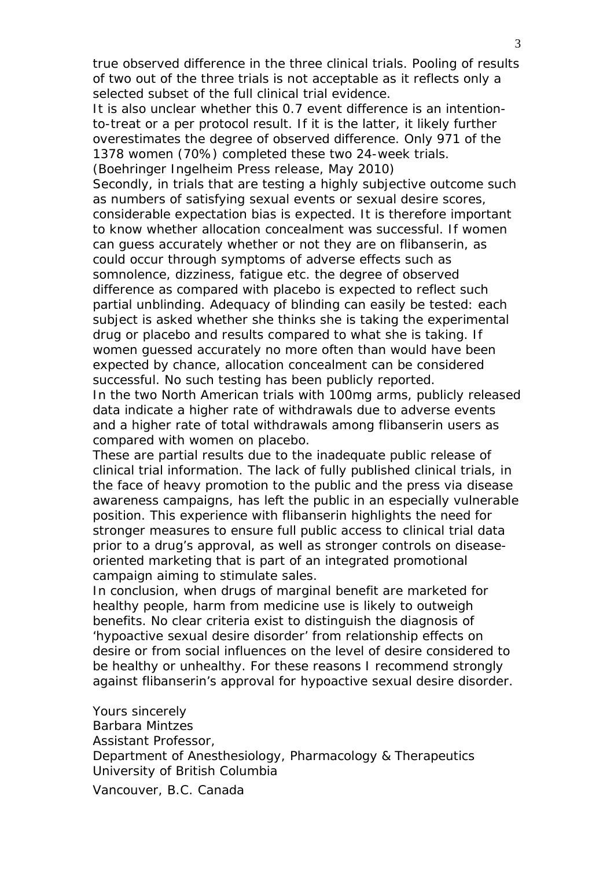true observed difference in the three clinical trials. Pooling of results of two out of the three trials is not acceptable as it reflects only a selected subset of the full clinical trial evidence.

It is also unclear whether this 0.7 event difference is an intentionto-treat or a per protocol result. If it is the latter, it likely further overestimates the degree of observed difference. Only 971 of the 1378 women (70%) completed these two 24-week trials. (Boehringer Ingelheim Press release, May 2010)

Secondly, in trials that are testing a highly subjective outcome such as numbers of satisfying sexual events or sexual desire scores, considerable expectation bias is expected. It is therefore important to know whether allocation concealment was successful. If women can guess accurately whether or not they are on flibanserin, as could occur through symptoms of adverse effects such as somnolence, dizziness, fatigue etc. the degree of observed difference as compared with placebo is expected to reflect such partial unblinding. Adequacy of blinding can easily be tested: each subject is asked whether she thinks she is taking the experimental drug or placebo and results compared to what she is taking. If women guessed accurately no more often than would have been expected by chance, allocation concealment can be considered successful. No such testing has been publicly reported.

In the two North American trials with 100mg arms, publicly released data indicate a higher rate of withdrawals due to adverse events and a higher rate of total withdrawals among flibanserin users as compared with women on placebo.

These are partial results due to the inadequate public release of clinical trial information. The lack of fully published clinical trials, in the face of heavy promotion to the public and the press via disease awareness campaigns, has left the public in an especially vulnerable position. This experience with flibanserin highlights the need for stronger measures to ensure full public access to clinical trial data prior to a drug's approval, as well as stronger controls on diseaseoriented marketing that is part of an integrated promotional campaign aiming to stimulate sales.

In conclusion, when drugs of marginal benefit are marketed for healthy people, harm from medicine use is likely to outweigh benefits. No clear criteria exist to distinguish the diagnosis of 'hypoactive sexual desire disorder' from relationship effects on desire or from social influences on the level of desire considered to be healthy or unhealthy. For these reasons I recommend strongly against flibanserin's approval for hypoactive sexual desire disorder.

Yours sincerely Barbara Mintzes Assistant Professor, Department of Anesthesiology, Pharmacology & Therapeutics University of British Columbia

Vancouver, B.C. Canada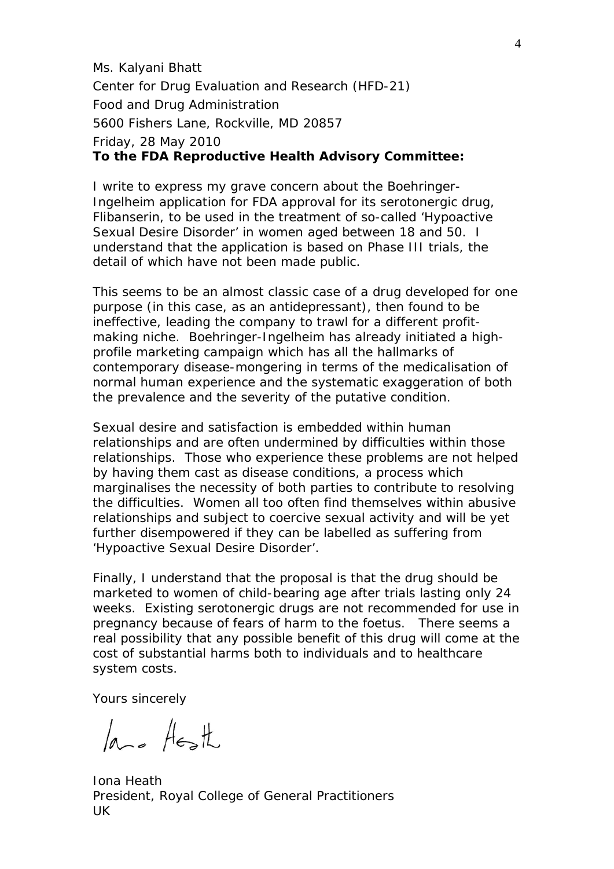Ms. Kalyani Bhatt Center for Drug Evaluation and Research (HFD-21) Food and Drug Administration 5600 Fishers Lane, Rockville, MD 20857 Friday, 28 May 2010 **To the FDA Reproductive Health Advisory Committee:**

I write to express my grave concern about the Boehringer-Ingelheim application for FDA approval for its serotonergic drug, Flibanserin, to be used in the treatment of so-called 'Hypoactive Sexual Desire Disorder' in women aged between 18 and 50. I understand that the application is based on Phase III trials, the detail of which have not been made public.

This seems to be an almost classic case of a drug developed for one purpose (in this case, as an antidepressant), then found to be ineffective, leading the company to trawl for a different profitmaking niche. Boehringer-Ingelheim has already initiated a highprofile marketing campaign which has all the hallmarks of contemporary disease-mongering in terms of the medicalisation of normal human experience and the systematic exaggeration of both the prevalence and the severity of the putative condition.

Sexual desire and satisfaction is embedded within human relationships and are often undermined by difficulties within those relationships. Those who experience these problems are not helped by having them cast as disease conditions, a process which marginalises the necessity of both parties to contribute to resolving the difficulties. Women all too often find themselves within abusive relationships and subject to coercive sexual activity and will be yet further disempowered if they can be labelled as suffering from 'Hypoactive Sexual Desire Disorder'.

Finally, I understand that the proposal is that the drug should be marketed to women of child-bearing age after trials lasting only 24 weeks. Existing serotonergic drugs are not recommended for use in pregnancy because of fears of harm to the foetus. There seems a real possibility that any possible benefit of this drug will come at the cost of substantial harms both to individuals and to healthcare system costs.

Yours sincerely

lase Heath

Iona Heath President, Royal College of General Practitioners UK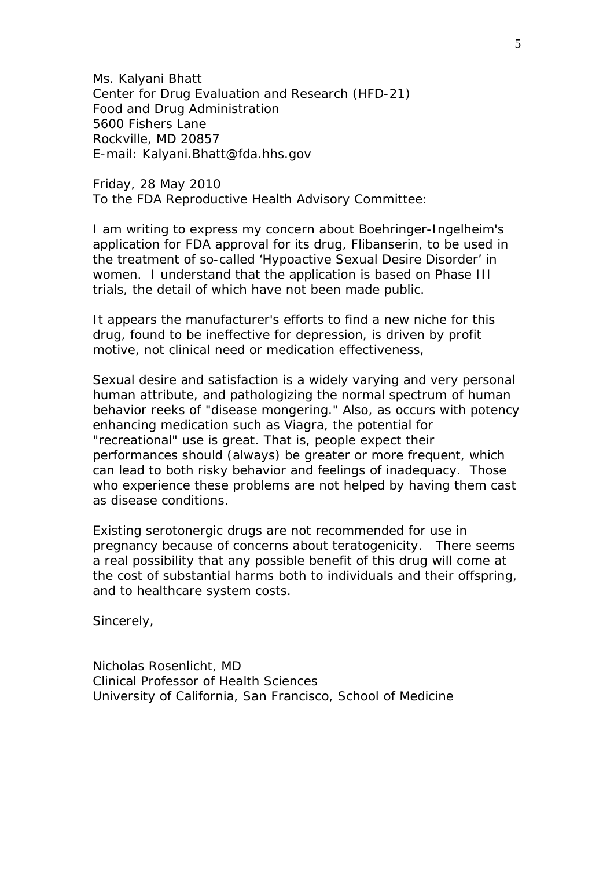Ms. Kalyani Bhatt Center for Drug Evaluation and Research (HFD-21) Food and Drug Administration 5600 Fishers Lane Rockville, MD 20857 E-mail: Kalyani.Bhatt@fda.hhs.gov

Friday, 28 May 2010 To the FDA Reproductive Health Advisory Committee:

I am writing to express my concern about Boehringer-Ingelheim's application for FDA approval for its drug, Flibanserin, to be used in the treatment of so-called 'Hypoactive Sexual Desire Disorder' in women. I understand that the application is based on Phase III trials, the detail of which have not been made public.

It appears the manufacturer's efforts to find a new niche for this drug, found to be ineffective for depression, is driven by profit motive, not clinical need or medication effectiveness,

Sexual desire and satisfaction is a widely varying and very personal human attribute, and pathologizing the normal spectrum of human behavior reeks of "disease mongering." Also, as occurs with potency enhancing medication such as Viagra, the potential for "recreational" use is great. That is, people expect their performances should (always) be greater or more frequent, which can lead to both risky behavior and feelings of inadequacy. Those who experience these problems are not helped by having them cast as disease conditions.

Existing serotonergic drugs are not recommended for use in pregnancy because of concerns about teratogenicity. There seems a real possibility that any possible benefit of this drug will come at the cost of substantial harms both to individuals and their offspring, and to healthcare system costs.

Sincerely,

Nicholas Rosenlicht, MD Clinical Professor of Health Sciences University of California, San Francisco, School of Medicine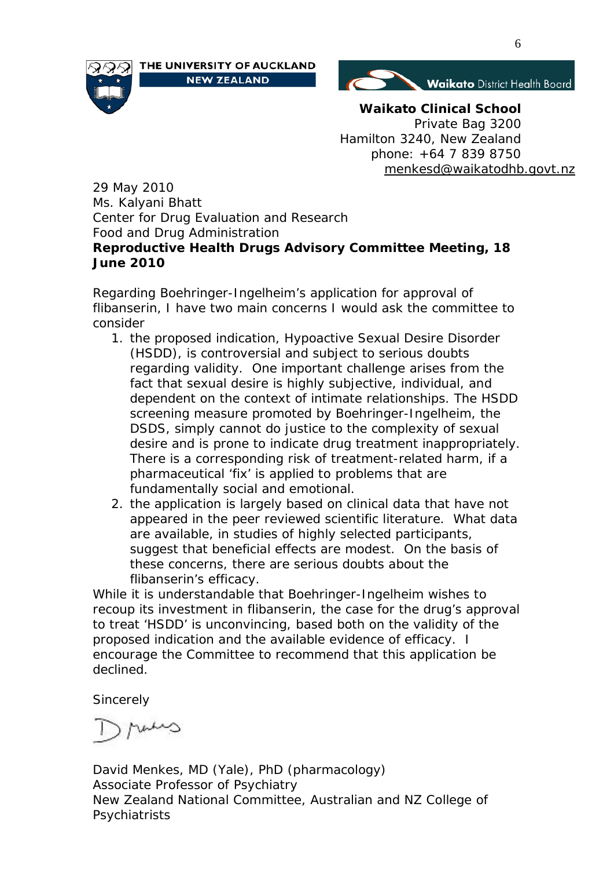





**Waikato Clinical School** Private Bag 3200 Hamilton 3240, New Zealand phone: +64 7 839 8750 [menkesd@waikatodhb.govt.nz](mailto:menkesd@waikatodhb.govt.nz)

29 May 2010 Ms. Kalyani Bhatt Center for Drug Evaluation and Research Food and Drug Administration **Reproductive Health Drugs Advisory Committee Meeting, 18 June 2010**

Regarding Boehringer-Ingelheim's application for approval of flibanserin, I have two main concerns I would ask the committee to consider

- 1. the proposed indication, Hypoactive Sexual Desire Disorder (HSDD), is controversial and subject to serious doubts regarding validity. One important challenge arises from the fact that sexual desire is highly subjective, individual, and dependent on the context of intimate relationships. The HSDD screening measure promoted by Boehringer-Ingelheim, the DSDS, simply cannot do justice to the complexity of sexual desire and is prone to indicate drug treatment inappropriately. There is a corresponding risk of treatment-related harm, if a pharmaceutical 'fix' is applied to problems that are fundamentally social and emotional.
- 2. the application is largely based on clinical data that have not appeared in the peer reviewed scientific literature. What data are available, in studies of highly selected participants, suggest that beneficial effects are modest. On the basis of these concerns, there are serious doubts about the flibanserin's efficacy.

While it is understandable that Boehringer-Ingelheim wishes to recoup its investment in flibanserin, the case for the drug's approval to treat 'HSDD' is unconvincing, based both on the validity of the proposed indication and the available evidence of efficacy. I encourage the Committee to recommend that this application be declined.

**Sincerely** 

ann

David Menkes, MD (Yale), PhD (pharmacology) Associate Professor of Psychiatry New Zealand National Committee, Australian and NZ College of Psychiatrists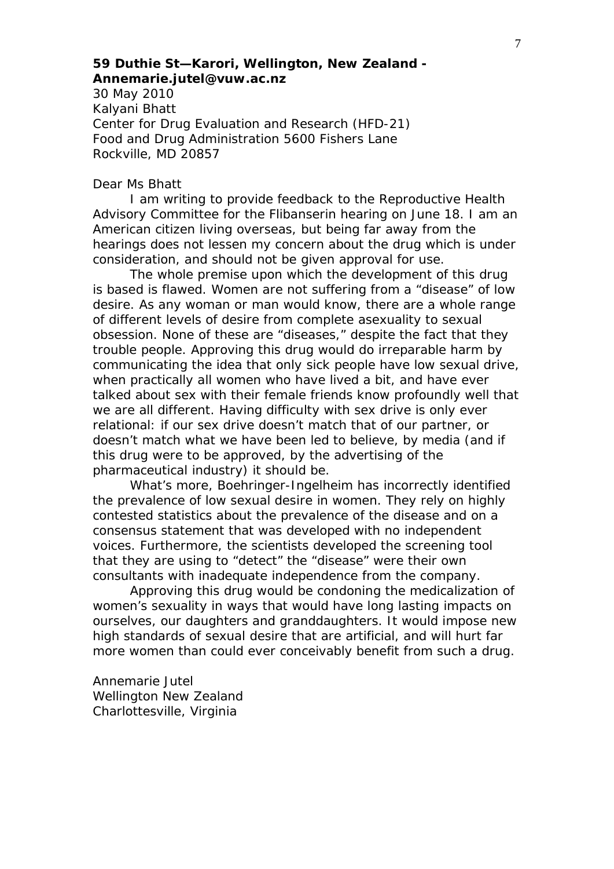# *59 Duthie St—Karori, Wellington, New Zealand - Annemarie.jutel@vuw.ac.nz*

30 May 2010 Kalyani Bhatt Center for Drug Evaluation and Research (HFD-21) Food and Drug Administration 5600 Fishers Lane Rockville, MD 20857

## Dear Ms Bhatt

I am writing to provide feedback to the Reproductive Health Advisory Committee for the Flibanserin hearing on June 18. I am an American citizen living overseas, but being far away from the hearings does not lessen my concern about the drug which is under consideration, and should not be given approval for use.

The whole premise upon which the development of this drug is based is flawed. Women are not suffering from a "disease" of low desire. As any woman or man would know, there are a whole range of different levels of desire from complete asexuality to sexual obsession. None of these are "diseases," despite the fact that they trouble people. Approving this drug would do irreparable harm by communicating the idea that only sick people have low sexual drive, when practically all women who have lived a bit, and have ever talked about sex with their female friends know profoundly well that we are all different. Having difficulty with sex drive is only ever relational: if our sex drive doesn't match that of our partner, or doesn't match what we have been led to believe, by media (and if this drug were to be approved, by the advertising of the pharmaceutical industry) it should be.

What's more, Boehringer-Ingelheim has incorrectly identified the prevalence of low sexual desire in women. They rely on highly contested statistics about the prevalence of the disease and on a consensus statement that was developed with no independent voices. Furthermore, the scientists developed the screening tool that they are using to "detect" the "disease" were their own consultants with inadequate independence from the company.

Approving this drug would be condoning the medicalization of women's sexuality in ways that would have long lasting impacts on ourselves, our daughters and granddaughters. It would impose new high standards of sexual desire that are artificial, and will hurt far more women than could ever conceivably benefit from such a drug.

Annemarie Jutel Wellington New Zealand Charlottesville, Virginia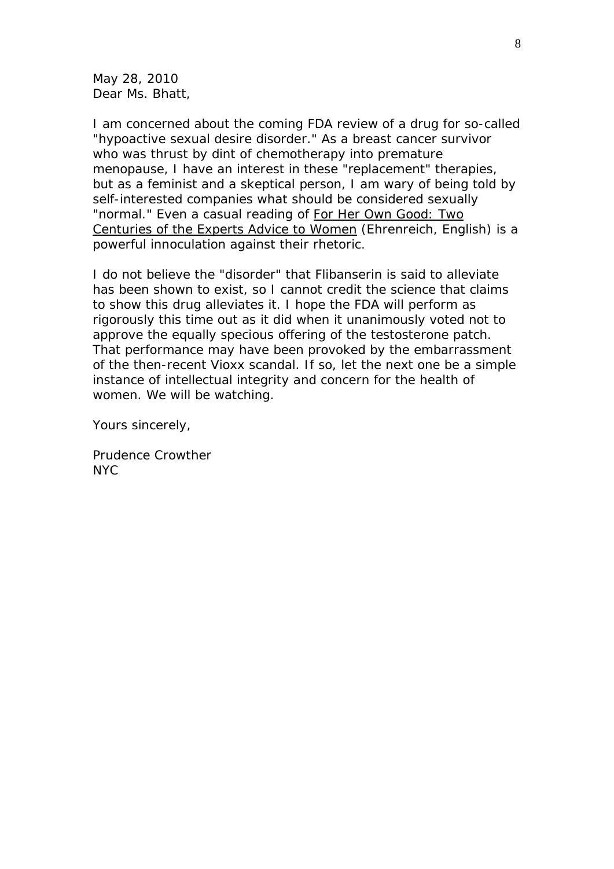May 28, 2010 Dear Ms. Bhatt,

I am concerned about the coming FDA review of a drug for so-called "hypoactive sexual desire disorder." As a breast cancer survivor who was thrust by dint of chemotherapy into premature menopause, I have an interest in these "replacement" therapies, but as a feminist and a skeptical person, I am wary of being told by self-interested companies what should be considered sexually "normal." Even a casual reading of For Her Own Good: Two Centuries of the Experts Advice to Women (Ehrenreich, English) is a powerful innoculation against their rhetoric.

I do not believe the "disorder" that Flibanserin is said to alleviate has been shown to exist, so I cannot credit the science that claims to show this drug alleviates it. I hope the FDA will perform as rigorously this time out as it did when it unanimously voted not to approve the equally specious offering of the testosterone patch. That performance may have been provoked by the embarrassment of the then-recent Vioxx scandal. If so, let the next one be a simple instance of intellectual integrity and concern for the health of women. We will be watching.

Yours sincerely,

Prudence Crowther NYC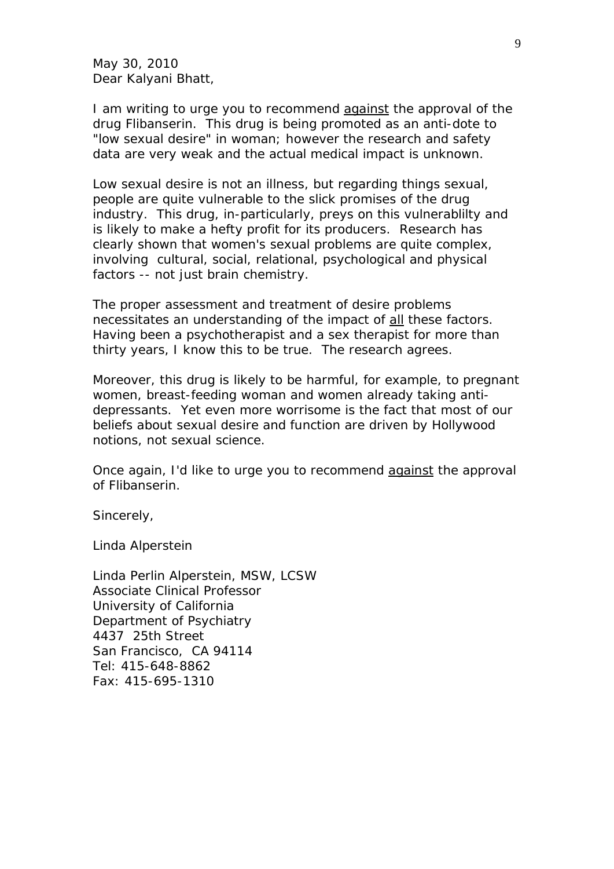May 30, 2010 Dear Kalyani Bhatt,

I am writing to urge you to recommend against the approval of the drug Flibanserin. This drug is being promoted as an anti-dote to "low sexual desire" in woman; however the research and safety data are very weak and the actual medical impact is unknown.

Low sexual desire is not an illness, but regarding things sexual, people are quite vulnerable to the slick promises of the drug industry. This drug, in-particularly, preys on this vulnerablilty and is likely to make a hefty profit for its producers. Research has clearly shown that women's sexual problems are quite complex, involving cultural, social, relational, psychological and physical factors -- not just brain chemistry.

The proper assessment and treatment of desire problems necessitates an understanding of the impact of all these factors. Having been a psychotherapist and a sex therapist for more than thirty years, I know this to be true. The research agrees.

Moreover, this drug is likely to be harmful, for example, to pregnant women, breast-feeding woman and women already taking antidepressants. Yet even more worrisome is the fact that most of our beliefs about sexual desire and function are driven by Hollywood notions, not sexual science.

Once again, I'd like to urge you to recommend against the approval of Flibanserin.

Sincerely,

Linda Alperstein

Linda Perlin Alperstein, MSW, LCSW Associate Clinical Professor University of California Department of Psychiatry 4437 25th Street San Francisco, CA 94114 Tel: 415-648-8862 Fax: 415-695-1310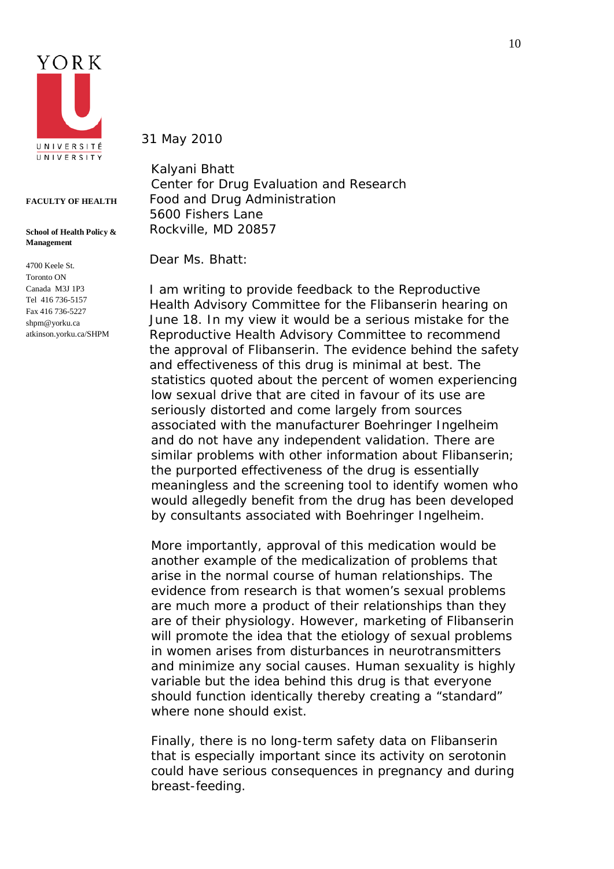

#### **FACULTY OF HEALTH**

#### **School of Health Policy & Management**

4700 Keele St. Toronto ON Canada M3J 1P3 Tel 416 736-5157 Fax 416 736-5227 shpm@yorku.ca atkinson.yorku.ca/SHPM 31 May 2010

Kalyani Bhatt Center for Drug Evaluation and Research Food and Drug Administration 5600 Fishers Lane Rockville, MD 20857

Dear Ms. Bhatt:

I am writing to provide feedback to the Reproductive Health Advisory Committee for the Flibanserin hearing on June 18. In my view it would be a serious mistake for the Reproductive Health Advisory Committee to recommend the approval of Flibanserin. The evidence behind the safety and effectiveness of this drug is minimal at best. The statistics quoted about the percent of women experiencing low sexual drive that are cited in favour of its use are seriously distorted and come largely from sources associated with the manufacturer Boehringer Ingelheim and do not have any independent validation. There are similar problems with other information about Flibanserin; the purported effectiveness of the drug is essentially meaningless and the screening tool to identify women who would allegedly benefit from the drug has been developed by consultants associated with Boehringer Ingelheim.

More importantly, approval of this medication would be another example of the medicalization of problems that arise in the normal course of human relationships. The evidence from research is that women's sexual problems are much more a product of their relationships than they are of their physiology. However, marketing of Flibanserin will promote the idea that the etiology of sexual problems in women arises from disturbances in neurotransmitters and minimize any social causes. Human sexuality is highly variable but the idea behind this drug is that everyone should function identically thereby creating a "standard" where none should exist.

Finally, there is no long-term safety data on Flibanserin that is especially important since its activity on serotonin could have serious consequences in pregnancy and during breast-feeding.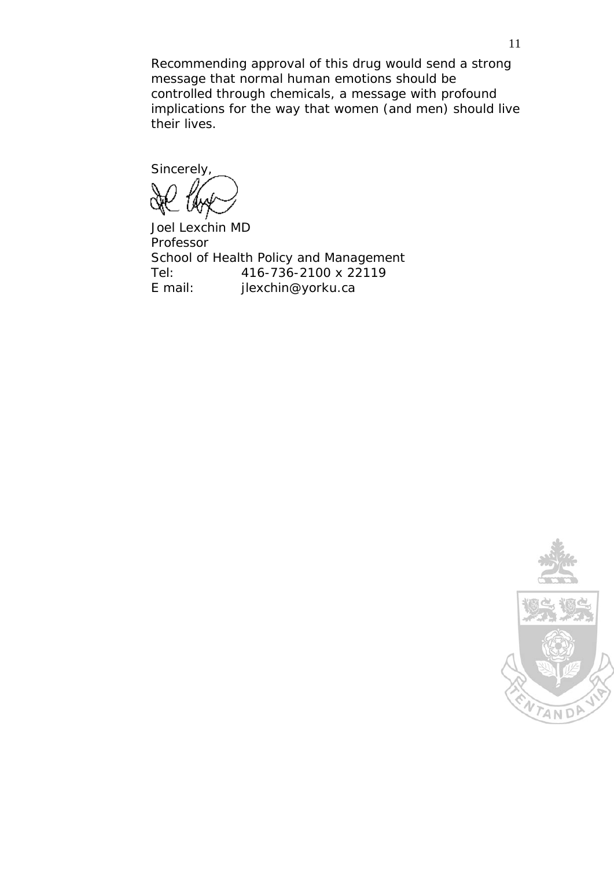Recommending approval of this drug would send a strong message that normal human emotions should be controlled through chemicals, a message with profound implications for the way that women (and men) should live their lives.

Sincerely,

Joel Lexchin MD Professor School of Health Policy and Management Tel: 416-736-2100 x 22119 E mail: jlexchin@yorku.ca

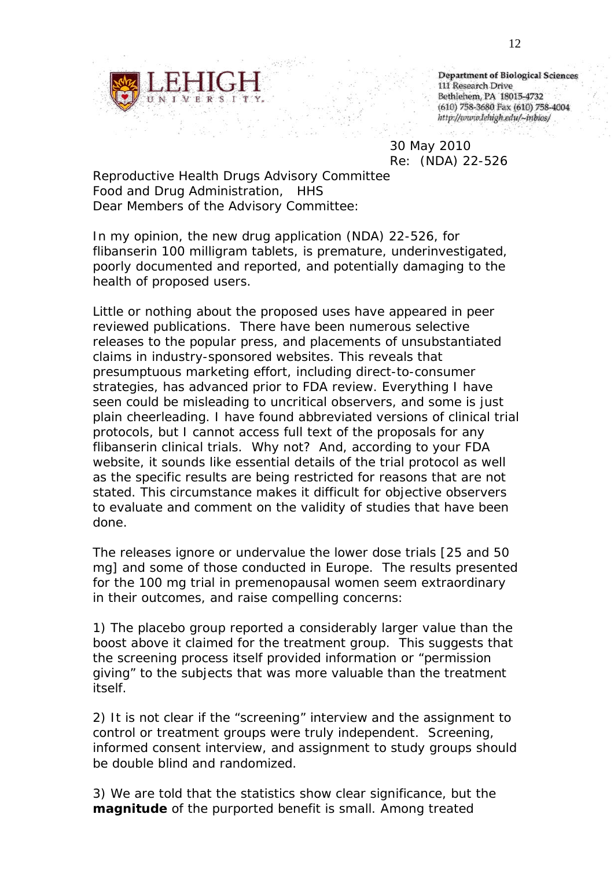

**Department of Biological Sciences** 111 Research Drive Bethlehem, PA 18015-4732 (610) 758-3680 Fax (610) 758-4004 http://www.lehigh.edu/~inbios/

30 May 2010 Re: (NDA) 22-526

Reproductive Health Drugs Advisory Committee Food and Drug Administration, HHS Dear Members of the Advisory Committee:

In my opinion, the new drug application (NDA) 22-526, for flibanserin 100 milligram tablets, is premature, underinvestigated, poorly documented and reported, and potentially damaging to the health of proposed users.

Little or nothing about the proposed uses have appeared in peer reviewed publications. There have been numerous selective releases to the popular press, and placements of unsubstantiated claims in industry-sponsored websites. This reveals that presumptuous marketing effort, including direct-to-consumer strategies, has advanced prior to FDA review. Everything I have seen could be misleading to uncritical observers, and some is just plain cheerleading. I have found abbreviated versions of clinical trial protocols, but I cannot access full text of the proposals for any flibanserin clinical trials. Why not? And, according to your FDA website, it sounds like essential details of the trial protocol as well as the specific results are being restricted for reasons that are not stated. This circumstance makes it difficult for objective observers to evaluate and comment on the validity of studies that have been done.

The releases ignore or undervalue the lower dose trials [25 and 50 mg] and some of those conducted in Europe. The results presented for the 100 mg trial in premenopausal women seem extraordinary in their outcomes, and raise compelling concerns:

1) The placebo group reported a considerably larger value than the boost above it claimed for the treatment group. This suggests that the screening process itself provided information or "permission giving" to the subjects that was more valuable than the treatment itself.

2) It is not clear if the "screening" interview and the assignment to control or treatment groups were truly independent. Screening, informed consent interview, and assignment to study groups should be double blind and randomized.

3) We are told that the statistics show clear significance, but the *magnitude* of the purported benefit is small. Among treated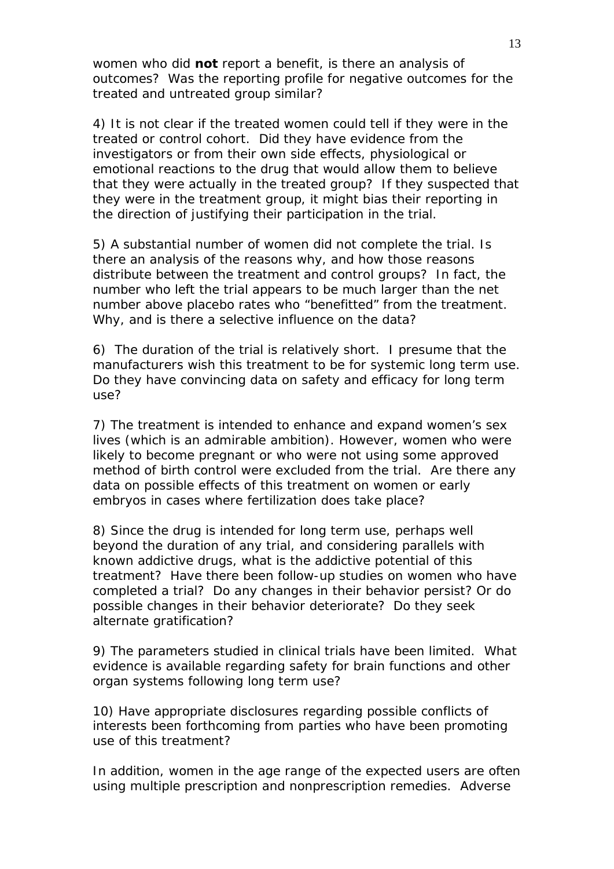women who did **not** report a benefit, is there an analysis of outcomes? Was the reporting profile for negative outcomes for the treated and untreated group similar?

4) It is not clear if the treated women could tell if they were in the treated or control cohort. Did they have evidence from the investigators or from their own side effects, physiological or emotional reactions to the drug that would allow them to believe that they were actually in the treated group? If they suspected that they were in the treatment group, it might bias their reporting in the direction of justifying their participation in the trial.

5) A substantial number of women did not complete the trial. Is there an analysis of the reasons why, and how those reasons distribute between the treatment and control groups? In fact, the number who left the trial appears to be much larger than the net number above placebo rates who "benefitted" from the treatment. Why, and is there a selective influence on the data?

6) The duration of the trial is relatively short. I presume that the manufacturers wish this treatment to be for systemic long term use. Do they have convincing data on safety and efficacy for long term use?

7) The treatment is intended to enhance and expand women's sex lives (which is an admirable ambition). However, women who were likely to become pregnant or who were not using some approved method of birth control were excluded from the trial. Are there any data on possible effects of this treatment on women or early embryos in cases where fertilization does take place?

8) Since the drug is intended for long term use, perhaps well beyond the duration of any trial, and considering parallels with known addictive drugs, what is the addictive potential of this treatment? Have there been follow-up studies on women who have completed a trial? Do any changes in their behavior persist? Or do possible changes in their behavior deteriorate? Do they seek alternate gratification?

9) The parameters studied in clinical trials have been limited. What evidence is available regarding safety for brain functions and other organ systems following long term use?

10) Have appropriate disclosures regarding possible conflicts of interests been forthcoming from parties who have been promoting use of this treatment?

In addition, women in the age range of the expected users are often using multiple prescription and nonprescription remedies. Adverse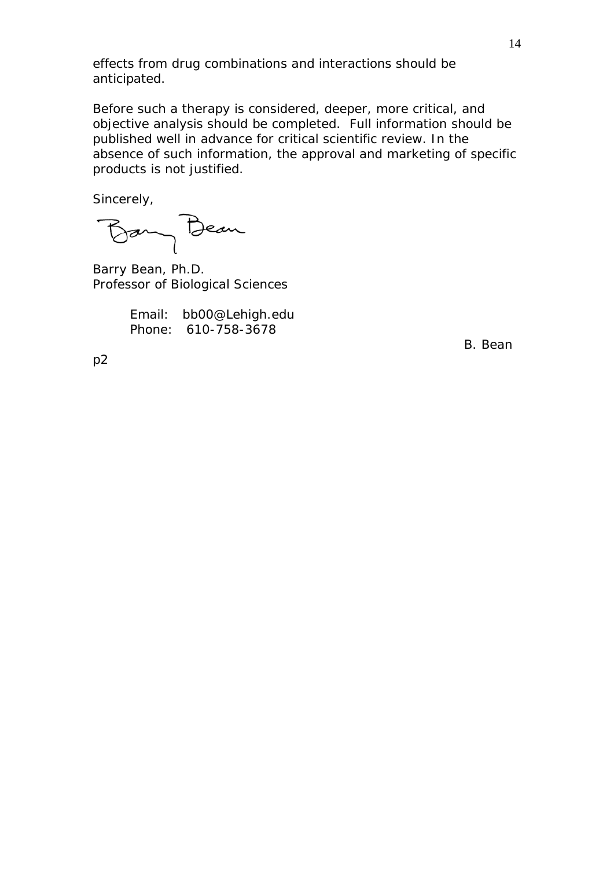effects from drug combinations and interactions should be anticipated.

Before such a therapy is considered, deeper, more critical, and objective analysis should be completed. Full information should be published well in advance for critical scientific review. In the absence of such information, the approval and marketing of specific products is not justified.

Sincerely,

Bany Beau

Barry Bean, Ph.D. Professor of Biological Sciences

Email: bb00@Lehigh.edu Phone: 610-758-3678

B. Bean

p2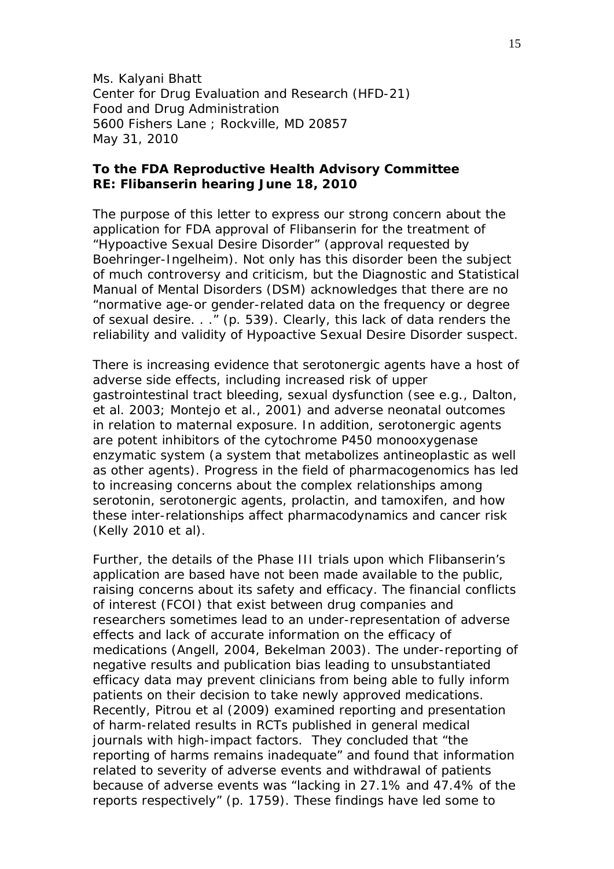Ms. Kalyani Bhatt Center for Drug Evaluation and Research (HFD-21) Food and Drug Administration 5600 Fishers Lane ; Rockville, MD 20857 May 31, 2010

# **To the FDA Reproductive Health Advisory Committee RE: Flibanserin hearing June 18, 2010**

The purpose of this letter to express our strong concern about the application for FDA approval of Flibanserin for the treatment of "Hypoactive Sexual Desire Disorder" (approval requested by Boehringer-Ingelheim). Not only has this disorder been the subject of much controversy and criticism, but the *Diagnostic and Statistical Manual of Mental Disorders* (*DSM*) acknowledges that there are no "normative age-or gender-related data on the frequency or degree of sexual desire. . ." (p. 539). Clearly, this lack of data renders the reliability and validity of Hypoactive Sexual Desire Disorder suspect.

There is increasing evidence that serotonergic agents have a host of adverse side effects, including increased risk of upper gastrointestinal tract bleeding, sexual dysfunction (see e.g., Dalton, et al. 2003; Montejo et al., 2001) and adverse neonatal outcomes in relation to maternal exposure. In addition, serotonergic agents are potent inhibitors of the cytochrome P450 monooxygenase enzymatic system (a system that metabolizes antineoplastic as well as other agents). Progress in the field of pharmacogenomics has led to increasing concerns about the complex relationships among serotonin, serotonergic agents, prolactin, and tamoxifen, and how these inter-relationships affect pharmacodynamics and cancer risk (Kelly 2010 et al).

Further, the details of the Phase III trials upon which Flibanserin's application are based have not been made available to the public, raising concerns about its safety and efficacy. The financial conflicts of interest (FCOI) that exist between drug companies and researchers sometimes lead to an under-representation of adverse effects and lack of accurate information on the efficacy of medications (Angell, 2004, Bekelman 2003). The under-reporting of negative results and publication bias leading to unsubstantiated efficacy data may prevent clinicians from being able to fully inform patients on their decision to take newly approved medications. Recently, Pitrou et al (2009) examined reporting and presentation of harm-related results in RCTs published in general medical journals with high-impact factors. They concluded that "the reporting of harms remains inadequate" and found that information related to severity of adverse events and withdrawal of patients because of adverse events was "lacking in 27.1% and 47.4% of the reports respectively" (p. 1759). These findings have led some to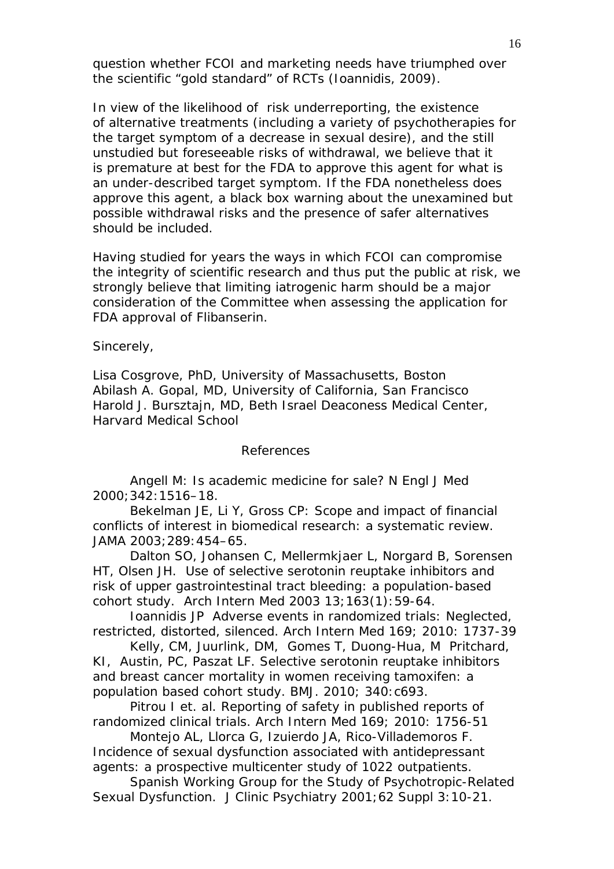question whether FCOI and marketing needs have triumphed over the scientific "gold standard" of RCTs (Ioannidis, 2009).

In view of the likelihood of risk underreporting, the existence of alternative treatments (including a variety of psychotherapies for the target symptom of a decrease in sexual desire), and the still unstudied but foreseeable risks of withdrawal, we believe that it is premature at best for the FDA to approve this agent for what is an under-described target symptom. If the FDA nonetheless does approve this agent, a black box warning about the unexamined but possible withdrawal risks and the presence of safer alternatives should be included.

Having studied for years the ways in which FCOI can compromise the integrity of scientific research and thus put the public at risk, we strongly believe that limiting iatrogenic harm should be a major consideration of the Committee when assessing the application for FDA approval of Flibanserin.

Sincerely,

Lisa Cosgrove, PhD, University of Massachusetts, Boston Abilash A. Gopal, MD, University of California, San Francisco Harold J. Bursztajn, MD, Beth Israel Deaconess Medical Center, Harvard Medical School

### References

Angell M: Is academic medicine for sale? *N Engl J Med* 2000;342:1516–18.

Bekelman JE, Li Y, Gross CP: Scope and impact of financial conflicts of interest in biomedical research: a systematic review. *JAMA* 2003;289:454–65.

Dalton SO, Johansen C, Mellermkjaer L, Norgard B, Sorensen HT, Olsen JH. Use of selective serotonin reuptake inhibitors and risk of upper gastrointestinal tract bleeding: a population-based cohort study. *Arch Intern Med* 2003 13;163(1):59-64.

Ioannidis JP Adverse events in randomized trials: Neglected, restricted, distorted, silenced. *Arch Intern Med* 169; 2010: 1737-39

Kelly, CM, Juurlink, DM, Gomes T, Duong-Hua, M Pritchard, KI, Austin, PC, Paszat LF. Selective serotonin reuptake inhibitors and breast cancer mortality in women receiving tamoxifen: a population based cohort study. BMJ. 2010; 340:c693.

Pitrou I et. al. Reporting of safety in published reports of randomized clinical trials. Arch Intern Med 169; 2010: 1756-51

Montejo AL, Llorca G, Izuierdo JA, Rico-Villademoros F. Incidence of sexual dysfunction associated with antidepressant agents: a prospective multicenter study of 1022 outpatients.

Spanish Working Group for the Study of Psychotropic-Related Sexual Dysfunction. J Clinic Psychiatry 2001;62 Suppl 3:10-21.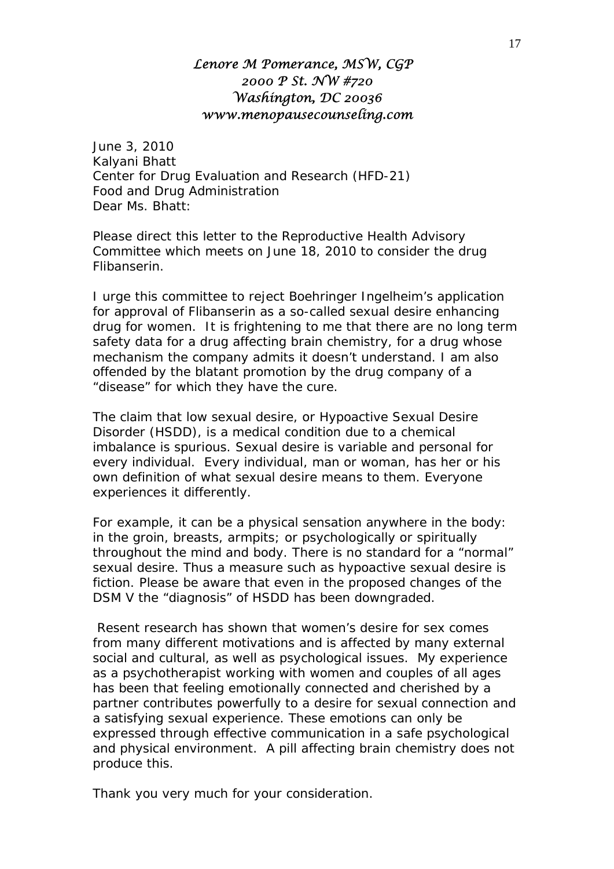# *Lenore M Pomerance, MSW, CGP 2000 P St. NW #720 Washington, DC 20036 www.menopausecounseling.com*

June 3, 2010 Kalyani Bhatt Center for Drug Evaluation and Research (HFD-21) Food and Drug Administration Dear Ms. Bhatt:

Please direct this letter to the Reproductive Health Advisory Committee which meets on June 18, 2010 to consider the drug Flibanserin.

I urge this committee to reject Boehringer Ingelheim's application for approval of Flibanserin as a so-called sexual desire enhancing drug for women. It is frightening to me that there are no long term safety data for a drug affecting brain chemistry, for a drug whose mechanism the company admits it doesn't understand. I am also offended by the blatant promotion by the drug company of a "disease" for which they have the cure.

The claim that low sexual desire, or Hypoactive Sexual Desire Disorder (HSDD), is a medical condition due to a chemical imbalance is spurious. Sexual desire is variable and personal for every individual. Every individual, man or woman, has her or his own definition of what sexual desire means to them. Everyone experiences it differently.

For example, it can be a physical sensation anywhere in the body: in the groin, breasts, armpits; or psychologically or spiritually throughout the mind and body. There is no standard for a "normal" sexual desire. Thus a measure such as hypoactive sexual desire is fiction. Please be aware that even in the proposed changes of the DSM V the "diagnosis" of HSDD has been downgraded.

Resent research has shown that women's desire for sex comes from many different motivations and is affected by many external social and cultural, as well as psychological issues. My experience as a psychotherapist working with women and couples of all ages has been that feeling emotionally connected and cherished by a partner contributes powerfully to a desire for sexual connection and a satisfying sexual experience. These emotions can only be expressed through effective communication in a safe psychological and physical environment. A pill affecting brain chemistry does not produce this.

Thank you very much for your consideration.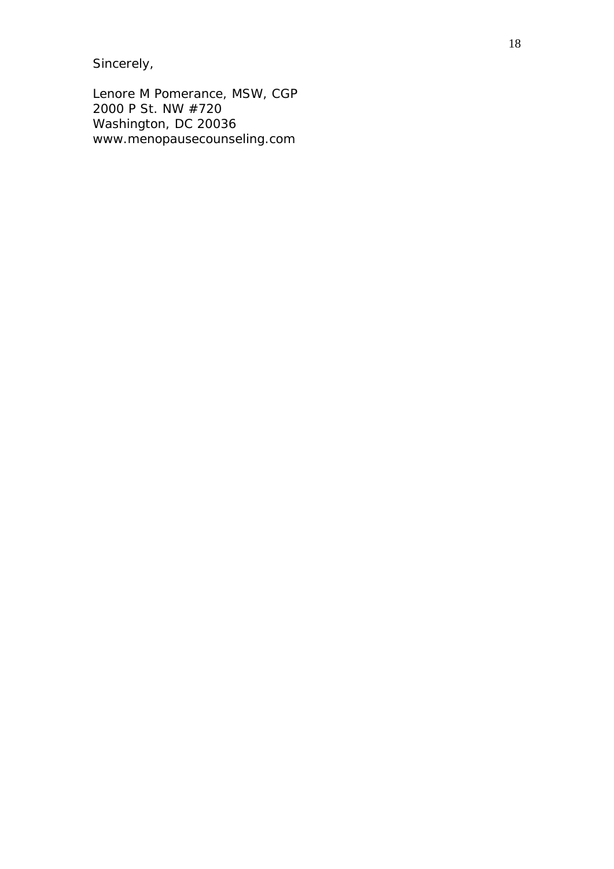Sincerely,

Lenore M Pomerance, MSW, CGP 2000 P St. NW #720 Washington, DC 20036 www.menopausecounseling.com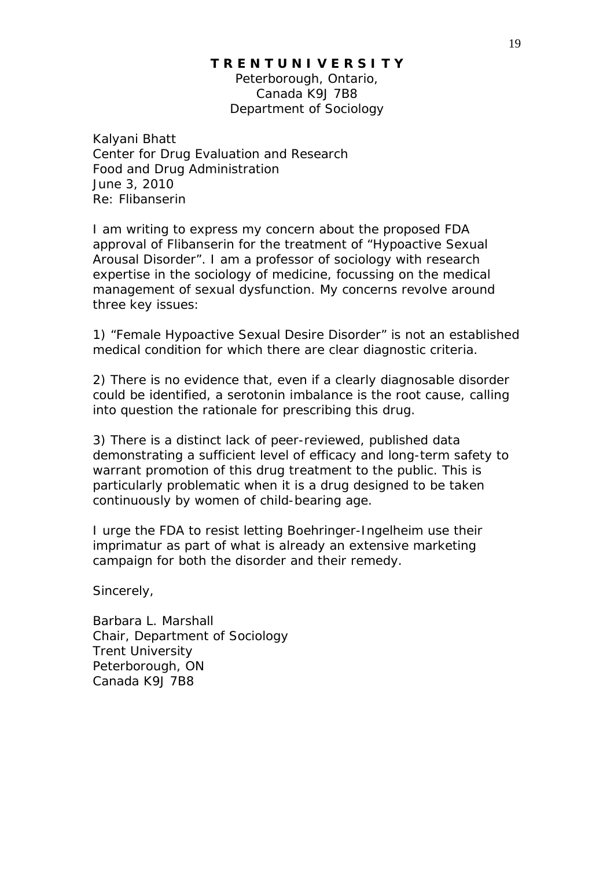## **T R E N T U N I V E R S I T Y**

Peterborough, Ontario, Canada K9J 7B8 Department of Sociology

Kalyani Bhatt Center for Drug Evaluation and Research Food and Drug Administration June 3, 2010 Re: Flibanserin

I am writing to express my concern about the proposed FDA approval of Flibanserin for the treatment of "Hypoactive Sexual Arousal Disorder". I am a professor of sociology with research expertise in the sociology of medicine, focussing on the medical management of sexual dysfunction. My concerns revolve around three key issues:

1) "Female Hypoactive Sexual Desire Disorder" is not an established medical condition for which there are clear diagnostic criteria.

2) There is no evidence that, even if a clearly diagnosable disorder could be identified, a serotonin imbalance is the root cause, calling into question the rationale for prescribing this drug.

3) There is a distinct lack of peer-reviewed, published data demonstrating a sufficient level of efficacy and long-term safety to warrant promotion of this drug treatment to the public. This is particularly problematic when it is a drug designed to be taken continuously by women of child-bearing age.

I urge the FDA to resist letting Boehringer-Ingelheim use their imprimatur as part of what is already an extensive marketing campaign for both the disorder and their remedy.

Sincerely,

Barbara L. Marshall Chair, Department of Sociology Trent University Peterborough, ON Canada K9J 7B8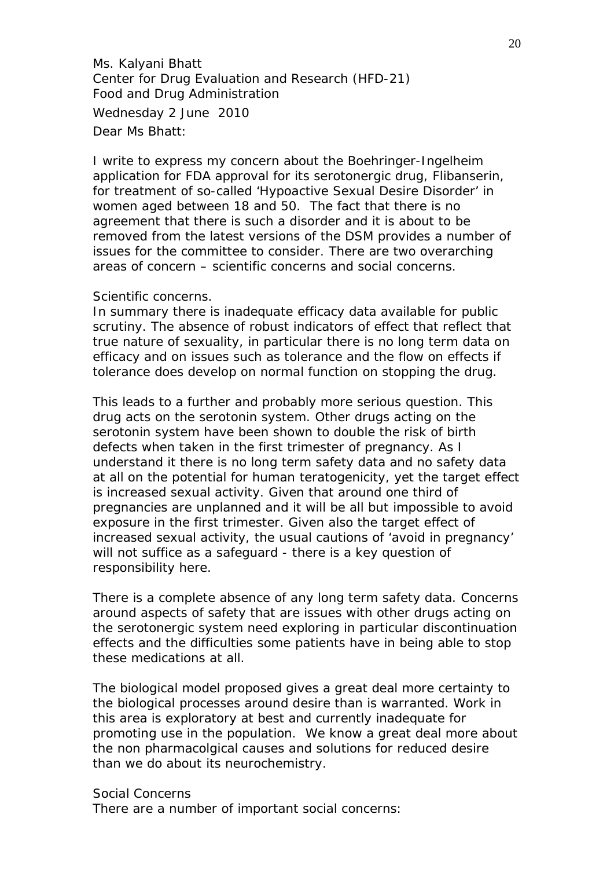Ms. Kalyani Bhatt Center for Drug Evaluation and Research (HFD-21) Food and Drug Administration Wednesday 2 June 2010 Dear Ms Bhatt:

I write to express my concern about the Boehringer-Ingelheim application for FDA approval for its serotonergic drug, Flibanserin, for treatment of so-called 'Hypoactive Sexual Desire Disorder' in women aged between 18 and 50. The fact that there is no agreement that there is such a disorder and it is about to be removed from the latest versions of the DSM provides a number of issues for the committee to consider. There are two overarching areas of concern – scientific concerns and social concerns.

### Scientific concerns.

In summary there is inadequate efficacy data available for public scrutiny. The absence of robust indicators of effect that reflect that true nature of sexuality, in particular there is no long term data on efficacy and on issues such as tolerance and the flow on effects if tolerance does develop on normal function on stopping the drug.

This leads to a further and probably more serious question. This drug acts on the serotonin system. Other drugs acting on the serotonin system have been shown to double the risk of birth defects when taken in the first trimester of pregnancy. As I understand it there is no long term safety data and no safety data at all on the potential for human teratogenicity, yet the target effect is increased sexual activity. Given that around one third of pregnancies are unplanned and it will be all but impossible to avoid exposure in the first trimester. Given also the target effect of increased sexual activity, the usual cautions of 'avoid in pregnancy' will not suffice as a safeguard - there is a key question of responsibility here.

There is a complete absence of any long term safety data. Concerns around aspects of safety that are issues with other drugs acting on the serotonergic system need exploring in particular discontinuation effects and the difficulties some patients have in being able to stop these medications at all.

The biological model proposed gives a great deal more certainty to the biological processes around desire than is warranted. Work in this area is exploratory at best and currently inadequate for promoting use in the population. We know a great deal more about the non pharmacolgical causes and solutions for reduced desire than we do about its neurochemistry.

# Social Concerns

There are a number of important social concerns: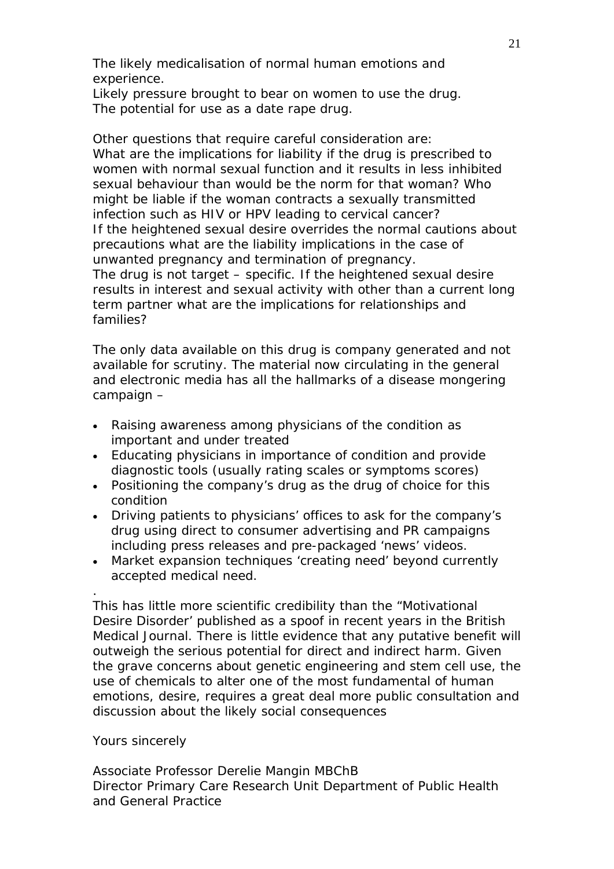The likely medicalisation of normal human emotions and experience.

Likely pressure brought to bear on women to use the drug. The potential for use as a date rape drug.

Other questions that require careful consideration are: What are the implications for liability if the drug is prescribed to women with normal sexual function and it results in less inhibited sexual behaviour than would be the norm for that woman? Who might be liable if the woman contracts a sexually transmitted infection such as HIV or HPV leading to cervical cancer? If the heightened sexual desire overrides the normal cautions about precautions what are the liability implications in the case of unwanted pregnancy and termination of pregnancy. The drug is not target – specific. If the heightened sexual desire results in interest and sexual activity with other than a current long term partner what are the implications for relationships and families?

The only data available on this drug is company generated and not available for scrutiny. The material now circulating in the general and electronic media has all the hallmarks of a disease mongering campaign –

- Raising awareness among physicians of the condition as important and under treated
- Educating physicians in importance of condition and provide diagnostic tools (usually rating scales or symptoms scores)
- Positioning the company's drug as the drug of choice for this condition
- Driving patients to physicians' offices to ask for the company's drug using direct to consumer advertising and PR campaigns including press releases and pre-packaged 'news' videos.
- Market expansion techniques 'creating need' beyond currently accepted medical need.

This has little more scientific credibility than the "Motivational Desire Disorder' published as a spoof in recent years in the British Medical Journal. There is little evidence that any putative benefit will outweigh the serious potential for direct and indirect harm. Given the grave concerns about genetic engineering and stem cell use, the use of chemicals to alter one of the most fundamental of human emotions, desire, requires a great deal more public consultation and discussion about the likely social consequences

Yours sincerely

.

Associate Professor Derelie Mangin MBChB Director Primary Care Research Unit Department of Public Health and General Practice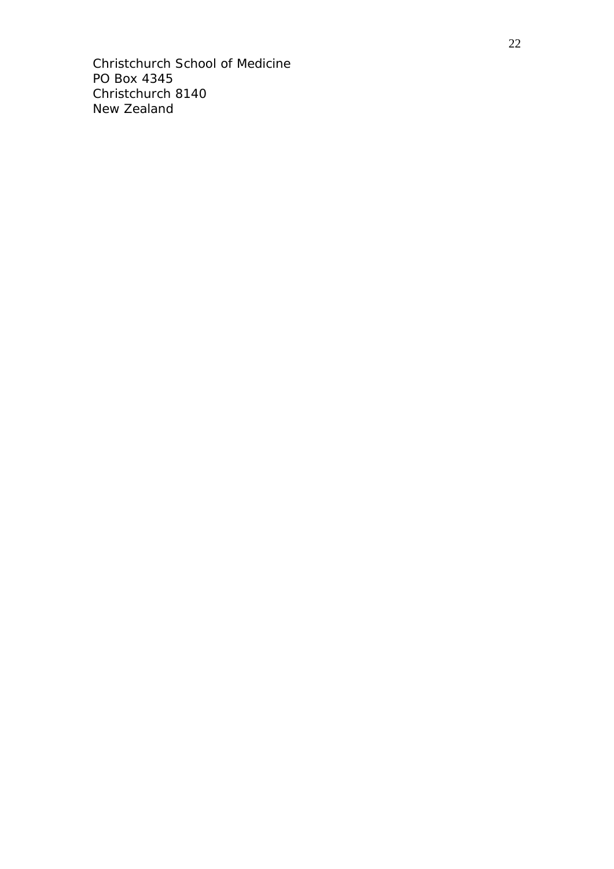Christchurch School of Medicine PO Box 4345 Christchurch 8140 New Zealand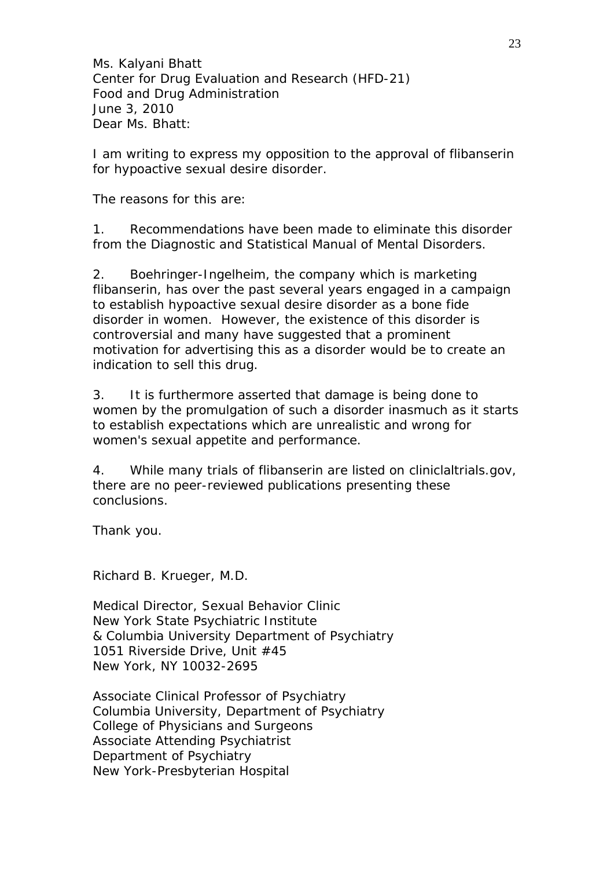Ms. Kalyani Bhatt Center for Drug Evaluation and Research (HFD-21) Food and Drug Administration June 3, 2010 Dear Ms. Bhatt:

I am writing to express my opposition to the approval of flibanserin for hypoactive sexual desire disorder.

The reasons for this are:

1. Recommendations have been made to eliminate this disorder from the Diagnostic and Statistical Manual of Mental Disorders.

2. Boehringer-Ingelheim, the company which is marketing flibanserin, has over the past several years engaged in a campaign to establish hypoactive sexual desire disorder as a bone fide disorder in women. However, the existence of this disorder is controversial and many have suggested that a prominent motivation for advertising this as a disorder would be to create an indication to sell this drug.

3. It is furthermore asserted that damage is being done to women by the promulgation of such a disorder inasmuch as it starts to establish expectations which are unrealistic and wrong for women's sexual appetite and performance.

4. While many trials of flibanserin are listed on cliniclaltrials.gov, there are no peer-reviewed publications presenting these conclusions.

Thank you.

Richard B. Krueger, M.D.

Medical Director, Sexual Behavior Clinic New York State Psychiatric Institute & Columbia University Department of Psychiatry 1051 Riverside Drive, Unit #45 New York, NY 10032-2695

Associate Clinical Professor of Psychiatry Columbia University, Department of Psychiatry College of Physicians and Surgeons Associate Attending Psychiatrist Department of Psychiatry New York-Presbyterian Hospital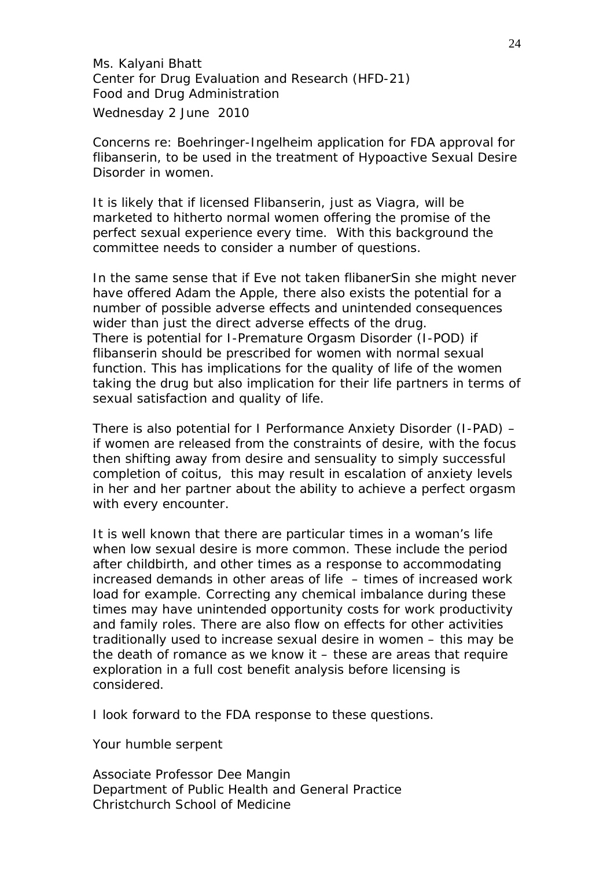Ms. Kalyani Bhatt Center for Drug Evaluation and Research (HFD-21) Food and Drug Administration Wednesday 2 June 2010

Concerns re: Boehringer-Ingelheim application for FDA approval for flibanserin, to be used in the treatment of Hypoactive Sexual Desire Disorder in women.

It is likely that if licensed Flibanserin, just as Viagra, will be marketed to hitherto normal women offering the promise of the perfect sexual experience every time. With this background the committee needs to consider a number of questions.

In the same sense that if Eve not taken flibanerSin she might never have offered Adam the Apple, there also exists the potential for a number of possible adverse effects and unintended consequences wider than just the direct adverse effects of the drug. There is potential for I-Premature Orgasm Disorder (I-POD) if flibanserin should be prescribed for women with normal sexual function. This has implications for the quality of life of the women taking the drug but also implication for their life partners in terms of sexual satisfaction and quality of life.

There is also potential for I Performance Anxiety Disorder (I-PAD) – if women are released from the constraints of desire, with the focus then shifting away from desire and sensuality to simply successful completion of coitus, this may result in escalation of anxiety levels in her and her partner about the ability to achieve a perfect orgasm with every encounter.

It is well known that there are particular times in a woman's life when low sexual desire is more common. These include the period after childbirth, and other times as a response to accommodating increased demands in other areas of life – times of increased work load for example. Correcting any chemical imbalance during these times may have unintended opportunity costs for work productivity and family roles. There are also flow on effects for other activities traditionally used to increase sexual desire in women – this may be the death of romance as we know it – these are areas that require exploration in a full cost benefit analysis before licensing is considered.

I look forward to the FDA response to these questions.

Your humble serpent

Associate Professor Dee Mangin Department of Public Health and General Practice Christchurch School of Medicine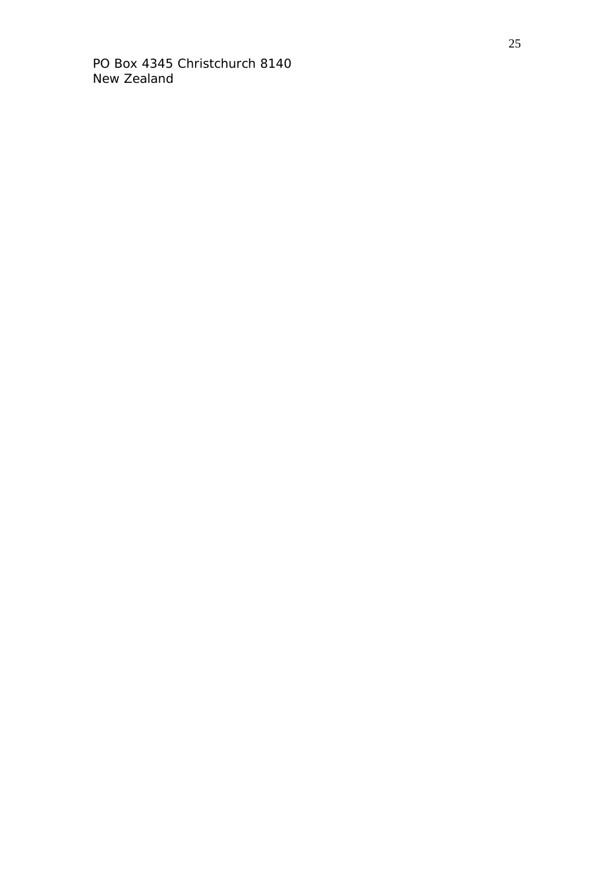PO Box 4345 Christchurch 8140 New Zealand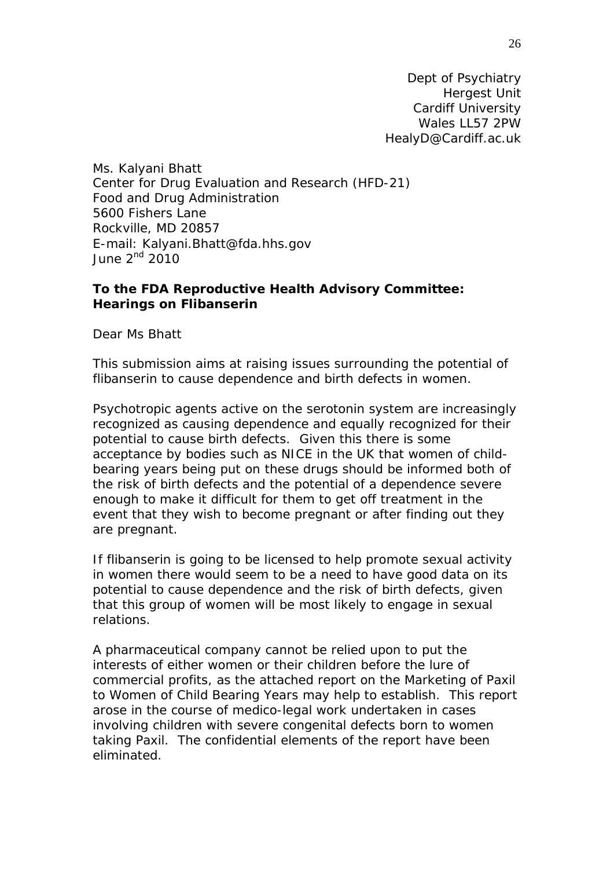Dept of Psychiatry Hergest Unit Cardiff University Wales LL57 2PW HealyD@Cardiff.ac.uk

Ms. Kalyani Bhatt Center for Drug Evaluation and Research (HFD-21) Food and Drug Administration 5600 Fishers Lane Rockville, MD 20857 E-mail: [Kalyani.Bhatt@fda.hhs.gov](mailto:Kalyani.Bhatt@fda.hhs.gov) June  $2<sup>nd</sup>$  2010

# **To the FDA Reproductive Health Advisory Committee: Hearings on Flibanserin**

Dear Ms Bhatt

This submission aims at raising issues surrounding the potential of flibanserin to cause dependence and birth defects in women.

Psychotropic agents active on the serotonin system are increasingly recognized as causing dependence and equally recognized for their potential to cause birth defects. Given this there is some acceptance by bodies such as NICE in the UK that women of childbearing years being put on these drugs should be informed both of the risk of birth defects and the potential of a dependence severe enough to make it difficult for them to get off treatment in the event that they wish to become pregnant or after finding out they are pregnant.

If flibanserin is going to be licensed to help promote sexual activity in women there would seem to be a need to have good data on its potential to cause dependence and the risk of birth defects, given that this group of women will be most likely to engage in sexual relations.

A pharmaceutical company cannot be relied upon to put the interests of either women or their children before the lure of commercial profits, as the attached report on the Marketing of Paxil to Women of Child Bearing Years may help to establish. This report arose in the course of medico-legal work undertaken in cases involving children with severe congenital defects born to women taking Paxil. The confidential elements of the report have been eliminated.